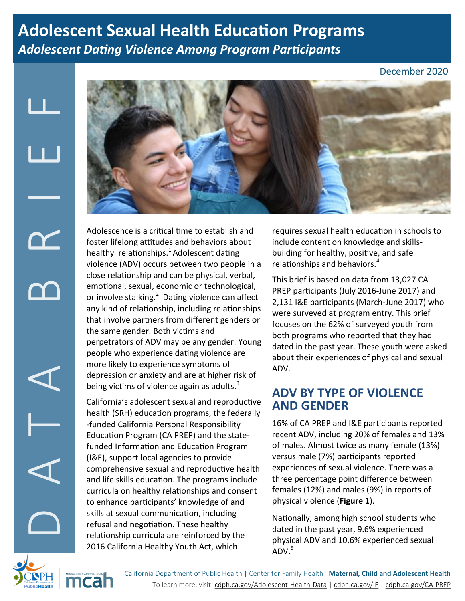# **Adolescent Sexual Health Education Programs** *Adolescent Dating Violence Among Program Participants*

#### December 2020



Adolescence is a critical time to establish and foster lifelong attitudes and behaviors about healthy relationships.<sup>1</sup> Adolescent dating violence (ADV) occurs between two people in a close relationship and can be physical, verbal, emotional, sexual, economic or technological, or involve stalking. $^2$  $^2$  Dating violence can affect any kind of relationship, including relationships that involve partners from different genders or the same gender. Both victims and perpetrators of ADV may be any gender. Young people who experience dating violence are more likely to experience symptoms of depression or anxiety and are at higher risk of being victims of violence again as adults. $3$ 

California's adolescent sexual and reproductive health (SRH) education programs, the federally -funded California Personal Responsibility Education Program (CA PREP) and the statefunded Information and Education Program (I&E), support local agencies to provide comprehensive sexual and reproductive health and life skills education. The programs include curricula on healthy relationships and consent to enhance participants' knowledge of and skills at sexual communication, including refusal and negotiation. These healthy relationship curricula are reinforced by the 2016 California Healthy Youth Act, which

requires sexual health education in schools to include content on knowledge and skillsbuilding for healthy, positive, and safe relationships and behaviors.<sup>[4](#page-2-0)</sup>

This brief is based on data from 13,027 CA PREP participants (July 2016-June 2017) and 2,131 I&E participants (March-June 2017) who were surveyed at program entry. This brief focuses on the 62% of surveyed youth from both programs who reported that they had dated in the past year. These youth were asked about their experiences of physical and sexual ADV.

#### **ADV BY TYPE OF VIOLENCE AND GENDER**

16% of CA PREP and I&E participants reported recent ADV, including 20% of females and 13% of males. Almost twice as many female (13%) versus male (7%) participants reported experiences of sexual violence. There was a three percentage point difference between females (12%) and males (9%) in reports of physical violence (**[Figure 1](#page-1-0)**).

Nationally, among high school students who dated in the past year, 9.6% experienced physical ADV and 10.6% experienced sexual  $ADV.<sup>5</sup>$  $ADV.<sup>5</sup>$  $ADV.<sup>5</sup>$ 



California Department of Public Health | Center for Family Health| **Maternal, Child and Adolescent Health** To learn more, visit: [cdph.ca.gov/Adolescent](http://www.cdph.ca.gov/Adolescent-Health-Data)-Health-Data | [cdph.ca.gov/IE](http://www.cdph.ca.gov/IE) | [cdph.ca.gov/CA](cdph.ca.gov/CA-PREP)-PREP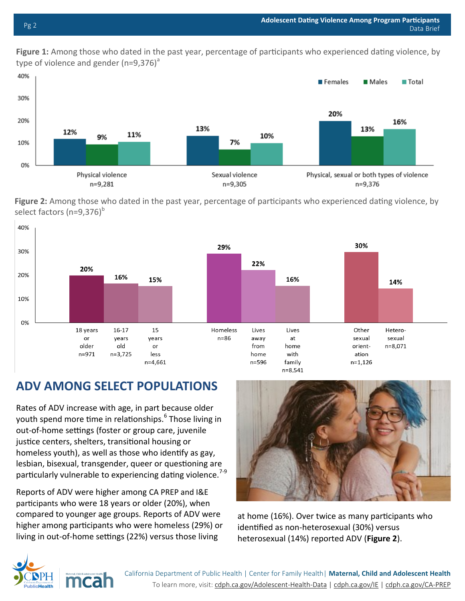<span id="page-1-0"></span>**Figure 1:** Among those who dated in the past year, percentage of participants who experienced dating violence, by type of violence [a](#page-2-0)nd gender  $(n=9,376)^{a}$ 



**Figure 2:** Among those who dated in the past year, percentage of participants who experienced dating violence, by select factors ( $n=9,376$ )<sup>[b](#page-2-0)</sup>



## **ADV AMONG SELECT POPULATIONS**

Rates of ADV increase with age, in part because older youth spend more time in relationships.<sup>[6](#page-2-0)</sup> Those living in out-of-home settings (foster or group care, juvenile justice centers, shelters, transitional housing or homeless youth), as well as those who identify as gay, lesbian, bisexual, transgender, queer or questioning are particularly vulnerable to experiencing dating violence.<sup>7-[9](#page-2-0)</sup>

Reports of ADV were higher among CA PREP and I&E participants who were 18 years or older (20%), when compared to younger age groups. Reports of ADV were higher among participants who were homeless (29%) or living in out-of-home settings (22%) versus those living



at home (16%). Over twice as many participants who identified as non-heterosexual (30%) versus heterosexual (14%) reported ADV (**Figure 2**).